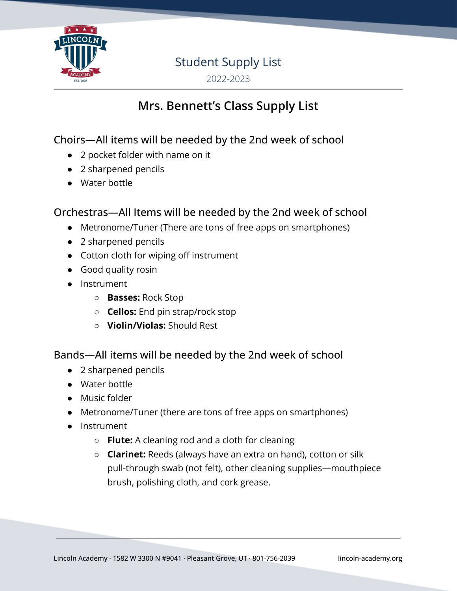

## Student Supply List

2022-2023

## **Mrs. Bennett's Class Supply List**

Choirs—All items will be needed by the 2nd week of school

- 2 pocket folder with name on it
- 2 sharpened pencils
- Water bottle

#### Orchestras—All Items will be needed by the 2nd week of school

- Metronome/Tuner (There are tons of free apps on smartphones)
- 2 sharpened pencils
- Cotton cloth for wiping off instrument
- Good quality rosin
- Instrument
	- **○ Basses:** Rock Stop
	- **○ Cellos:** End pin strap/rock stop
	- **○ Violin/Violas:** Should Rest

#### Bands—All items will be needed by the 2nd week of school

- 2 sharpened pencils
- Water bottle
- Music folder
- Metronome/Tuner (there are tons of free apps on smartphones)
- Instrument
	- **○ Flute:** A cleaning rod and a cloth for cleaning
	- **○ Clarinet:** Reeds (always have an extra on hand), cotton or silk pull-through swab (not felt), other cleaning supplies—mouthpiece brush, polishing cloth, and cork grease.